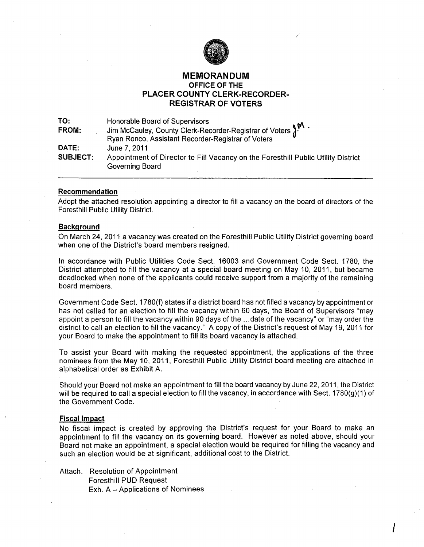

# MEMORANDUM OFFICE OF THE PLACER COUNTY CLERK-RECORDER-REGISTRAR OF VOTERS

| TO:             | Honorable Board of Supervisors                                                    |
|-----------------|-----------------------------------------------------------------------------------|
| FROM:           | Jim McCauley, County Clerk-Recorder-Registrar of Voters $\int_{0}^{M}$ .          |
|                 | Ryan Ronco, Assistant Recorder-Registrar of Voters                                |
| DATE:           | June 7, 2011                                                                      |
| <b>SUBJECT:</b> | Appointment of Director to Fill Vacancy on the Foresthill Public Utility District |
|                 | Governing Board                                                                   |

## Recommendation

Adopt the attached resolution appointing a director to fill a vacancy on the board of directors of the Foresthill Public Utility District.

# **Background**

On March 24, 2011 a vacancy was created on the Foresthill Public Utility District governing board when one of the District's board members resigned.

In accordance with Public Utilities Code Sect. 16003 and Government Code Sect. 1780, the District attempted to fill the vacancy at a special board meeting on May 10, 2011, but became deadlocked when none of the applicants could receive support from a majority of the remaining board members.

Government Code Sect. 1780(f) states if a district board has not filled a vacancy by appointment or has not called for an election to fill the vacancy within 60 days, the Board of Supervisors "may appoint a person to fill the vacancy within 90 days of the ... date of the vacancy" or "may order the district to call an election to fill the vacancy." A copy of the District's request of May 19, 2011 for your Board to make the appointment to fill its board vacancy is attached.

To assist your Board with making the requested appointment. the applications of the three nominees from the May 10, 2011, Foresthill Public Utility District board meeting are attached in alphabetical order as Exhibit A.

Should your Board not make an appointment to fill the board vacancy by June 22,2011, the District will be required to call a special election to fill the vacancy, in accordance with Sect. 1780(g)(1) of the Government Code.

## Fiscal Impact

No fiscal impact is created by approving the District's request for your Board to make an appointment to fill the vacancy on its governing board. However as noted above, should your Board not make an appointment, a special election would be required for filling the vacancy and such an election would be at significant, additional cost to the District.

I

Attach. Resolution of Appointment Foresthill PUD Request Exh. A - Applications of Nominees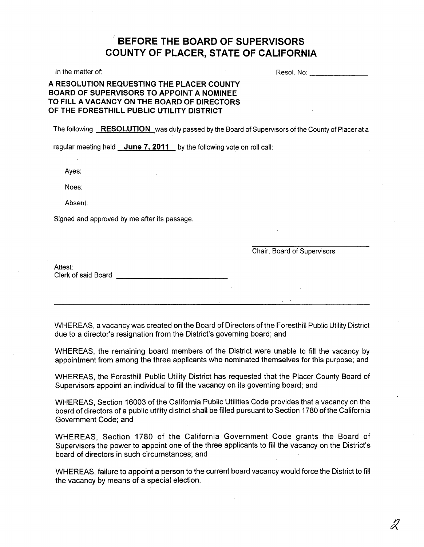# , **BEFORE THE BOARD OF SUPERVISORS COUNTY OF PLACER, STATE OF CALIFORNIA**

In the matter of:

Resol. No: \_\_\_\_\_ \_

# **A RESOLUTION REQUESTING THE PLACER COUNTY BOARD OF SUPERVISORS TO APPOINT A NOMINEE TO FILL** A VACANCY **ON THE BOARD OF DIRECTORS OF THE FORESTHILL PUBLIC UTILITY DISTRICT**

The following **RESOLUTION** was duly passed by the Board of Supervisors of the County of Placer at a

regular meeting held **June 7. 2011** by the following vote on roll call:

Ayes:

Noes:

Absent:

Signed and approved by me after its passage.

Chair, Board of Supervisors

Attest: Clerk of said Board **Exercise 20** 

WHEREAS, a vacancy was created on the Board of Directors of the Foresthill Public Utility District due to a director's resignation from the District's governing board; and

WHEREAS, the remaining board members of the District were unable to fill the vacancy by appointment from among the three applicants who nominated themselves for this purpose; and

WHEREAS, the Foresthill Public Utility District has requested that the Placer County Board of Supervisors appoint an individual to fill the vacancy on its governing board; and

WHEREAS, Section 16003 of the California Public Utilities Code provides that a vacancy on the board of directors of a public utility district shall be filled pursuant to Section 1780 of the California Government Code; and

WHEREAS, Section 1780 of the California Government Code grants the Board of Supervisors the power to appoint one of the three applicants to fill the vacancy on the District's board of directors in such circumstances; and

WHEREAS, failure to appoint a person to the current board vacancy would force the District to fill the vacancy by means of a special election.

2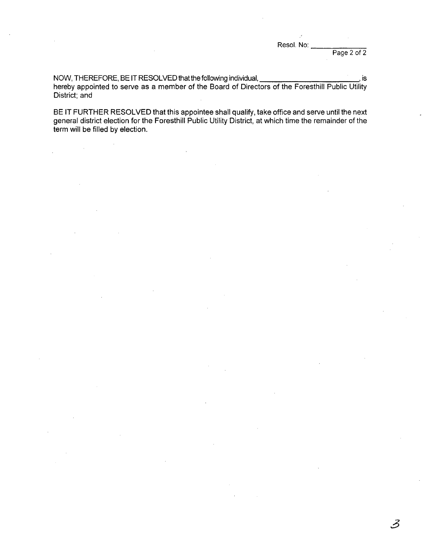Resol. No:

Page 2 of 2

3

NOW, THEREFORE, BE IT RESOLVED that the following individual, **with all and the rest of the set of the set of the set of the set of the set of the set of the set of the set of the set of the set of the set of the set of th** hereby appointed to serve as a member of the Board of Directors of the Foresthill Public Utility District; and

**BE IT** FURTHER RESOLVED that this appointee shall qualify, take office and serve until the next general district election for the Foresthill Public Utility District, at which time the remainder of the term will be filled by election.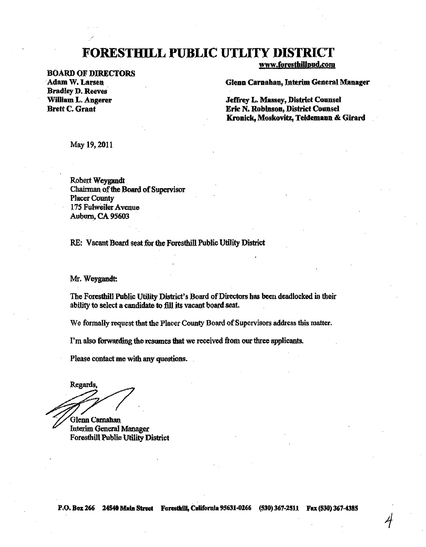# FORESTHILL **PUBLIC UTLITY DISTRICT**

BOARD OF DIRECTORS Adam W. Larsen Bradley D. Reeves WiUiam L. Angerer Brett C. Grant

www.foresthillpud.com

Glenn Carnahan, Interim General Manager

Jeffrey L Massey, District Counsel Eric N. Robinson, District Counsel Kronick, Moskovitz, Teldemann & Girard

1

May 19,2011

Robert Weygandt . Chairman of the Board of Supervisor **Placer County** 175 Fulweiler Avenue Auburn, CA 95603

RE: Vacant Board seat for the Foresthill Public Utility District

Mr. Weygandt:

The Foresthill Public Utility District's Board of Directors has been deadlocked in their ability to select a candidate to fill its vacant board seat.

We formally request that the Placer County Board of Supervisors address this matter.

I'm also forwarding the resumes that we received from our three applicants.

Please contact me with any questions.

Regards.

Glenn Camaban Interim General Manager Foresthill Public Utility District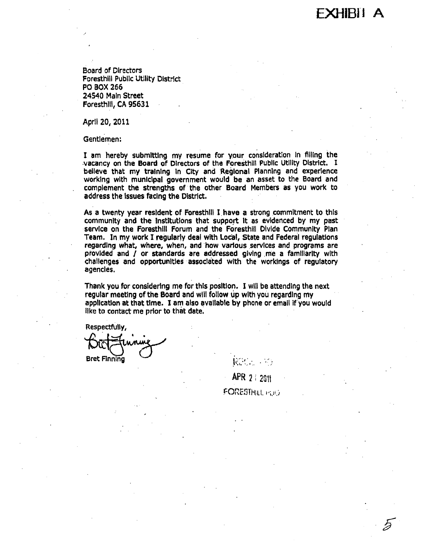XHIRII A

ゟ

Board of Directors Foresthill Public Utility DistrIct PO BOX 266 24540 MaIn Street Foresthill, CA 95631

April *20, 2011* 

Gentlemen:

I am hereby submitting my resume for your consideration in filling the vacancy on the Board of Directors of the Foresthill Public Utility District. I believe that my traIning In City and Regional Planning and experience working with municipal government would be an asset to the Board and complement the strengths of the other Board Members as you work to address the Issues faCing the District.

As a twenty year resident of Foresthill I have a strong commitment to this community and the institutions that support it as evidenced by my past service on the Foresthill Forum and the Foresthill Divide Community Plan Team. In my work I regularly deal with Local, State and Federal regulations regarding what, where, when, and how various services and programs are provided and / or standards are addressed giving me a familiarity with challenges and opportunities associated with the workings of regulatory agencies.

Thank you for considering me for this position. I will be attending the next regular meeting of the Board and will follow up with you regardIng my application at that time. I am also available by phone or email if you would like to contact me prior to that date.

Respectfully,

Bret F1nnlng Q--" <sup>I</sup> , . ," . . <,: .... .... . ..... <sup>~</sup>

APR 2 : 2011 FORESTHILL *POR*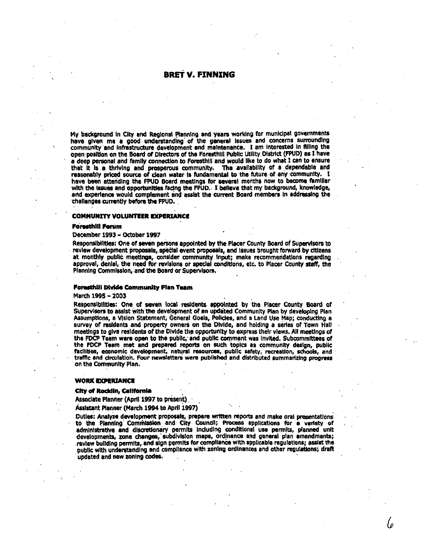# **BRET V. FINNING**

My background in City and Regional Planning and years working for municipal governments have given me a good understanding of the general issues and concerns surrounding community and infrastructure development and maintenance. I am interested in filling the open position on the Board of Directors of the Foresthill Public Utility District (FPUD) as I have a deep personal and family connection to Foresthill and would like to do what I can to ensure that it is a thriving and prosperous community. The availability of a dependable and reasonably priced source of clean water is fundamental to the future of any community. I have been attending the FPUD Board meetings for several months now to become familiar with the issues and opportunities facing the FPUD. I believe that my background, knowledge, and experience would complement and assist the current Board members in addressing the challenges currently before the FPUD.

#### **COMMUNITY VOLUNTEER EXPERIANCE**

#### **Foresthill Forum**

#### December 1993 - October 1997

Responsibilities: One of seven persons appointed by the Placer County Board of Supervisors to review development proposals, special event proposals, and issues brought forward by citizens at monthly public meetings, consider community input; make recommendations regarding approval, denial, the need for revisions or special conditions, etc. to Placer County staff, the Planning Commission, and the Board or Supervisors.

#### Foresthill Divide Community Plan Team

#### March 1995 - 2003

Responsibilities: One of seven local residents appointed by the Placer County Board of Supervisors to assist with the development of an updated Community Plan by developing Plan Assumptions, a Vision Statement, General Goals, Policies, and a Land Use Map; conducting a survey of residents and property owners on the Divide, and holding a series of Town Hall meetings to give residents of the Divide the opportunity to express their views. All meetings of the FDCP Team were open to the public, and public comment was invited. Subcommittees of the FDCP Team met and prepared reports on such topics as community design, public facilities, economic development, natural resources, public safety, recreation, schools, and traffic and circulation. Four newsletters were published and distributed summarizing progress on the Community Plan.

#### **WORK EXPERIANCE**

#### City of Rocklin, California

Associate Planner (April 1997 to present)

Assistant Planner (March 1994 to April 1997)

Duties: Analyze development proposals, prepare written reports and make oral presentations to the Planning Commission and City Council; Process applications for a variety of administrative and discretionary permits including conditional use permits, planned unit developments, zone changes, subdivision maps, ordinance and general plan amendments; review building permits, and sign permits for compliance with applicable regulations; assist the public with understanding and compilance with zoning ordinances and other regulations; draft updated and new zoning codes.

l o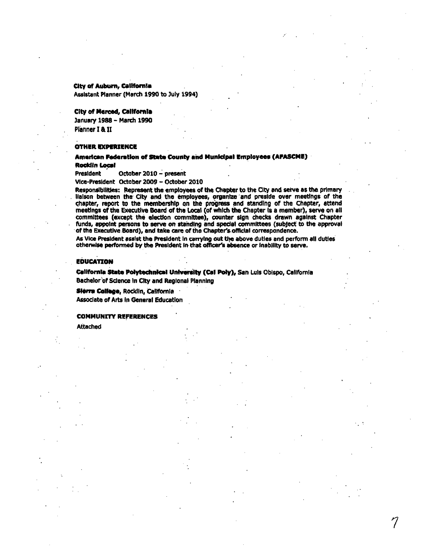### City of Auburn, California

Assistant Planner (March 1990 to July 1994)

## **City of Merced, California**

January 1988 - March 1990 Planner I & II

#### **OTHER EXPERIENCE**

American Federation of State County and Municipal Employees (AFASCME) **Rocklin Local** 

October 2010 - present **President** 

Vice-President October 2009 - October 2010

Responsibilities: Represent the employees of the Chapter to the City and serve as the primary lialson between the City and the employees, organize and preside over meetings of the chapter, report to the membership on the progress and standing of the Chapter, attend<br>meetings of the Executive Board of the Local (of which the Chapter is a member), serve on all committees (except the election committee), counter sign checks drawn against Chapter funds, appoint persons to serve on standing and special committees (subject to the approval of the Executive Board), and take care of the Chapter's official correspondence.

As Vice President assist the President in carrying out the above duties and perform all duties otherwise performed by the President in that officer's absence or inability to serve.

## **EDUCATION**

California State Polytechnical University (Cal Poly), San Luis Obispo, California Bachelor of Science In City and Regional Planning

Sierre College, Rocklin, California

**Associate of Arts in General Education** 

#### **COMMUNITY REFERENCES**

Attached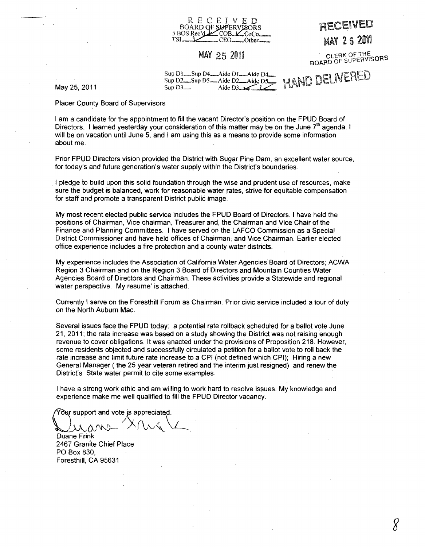

# MAY 25 2011

MAY 26 2011

RECEIVED

CLERK OF THE BOARD OF SUPERVISORS

*g* 

Sup DI\_Sup D4~Aid€ DI\_Aide D4~ H,ilMCJ ~!,lR\ :R\1. \_\_ e,\_l \_\_\_ ~,,\8re:iEjED Sup D2\_Sup OS\_Aide D2-AideD5\_ MU"{lY *\\Jl6* J'ff b:.n Aide D3 $\sim$ 1

May 25,2011

Placer Gounty Board of Supervisors

I am a candidate for the appointment to fill the vacant Director's position on the FPUD Board of Directors. I learned yesterday your consideration of this matter may be on the June 7<sup>th</sup> agenda. I will be on vacation until June 5, and I am using this as a means to provide some information about me.

Prior FPUD Directors vision provided the District with Sugar Pine Dam, an excellent water source, for today's and future generation's water supply within the District's boundaries .

. I pledge to build upon this solid foundation through the wise and prudent use of resources, make sure the budget is balanced, work for reasonable water rates, strive for equitable compensation for staff and promote a transparent District public image.

My most recent elected public service includes the FPUD Board of Directors. I have held the positions of Chairman, Vice chairman, Treasurer and, the Chairman and Vice Chair of the Finance and Planning Committees. I have served on the LAFCO Commission as a Special District Commissioner and have held offices of Chairman, and Vice Chairman. Earlier elected office experience includes a fire protection and a county water districts.

My experience includes the Association of California Water Agencies Board of Directors; ACWA Region 3 Chairman and on the Region 3 Board of Directors and Mountain Counties Water Agencies Board of Directors and Chairman. These activities provide a Statewide and regional water perspective. My resume' is attached.

Currently I serve on the Foresthill Forum as Chairman. Prior civic service included a tour of duty on the North Auburn Mac.

Several issues face the FPUD today: a potential rate rollback scheduled for a ballot vote June 21,2011; the rate increase was based on a study showing the District was not raising enough revenue to cover obligations. It was enacted under the provisions of Proposition 218. However, some residents objected and successfully circulated a petition for a ballot vote to rolf back the rate increase and limit future rate increase to a CPI (not defined which CPI); Hiring a new General Manager ( the 25 year veteran retired and the interim just resigned) and renew the District's State water permit to cite some examples.

I have a strong work ethic and am willing to work hard to resolve issues. My knowledge and experience make me well qualified to fill the FPUD Director vacancy.

Your support and vote is appreciated.

 $\Delta u$ ane  $X$   $\Lambda$ Duane Frink

2467 Granite Chief Place PO Box 830, Foresthill, CA 95631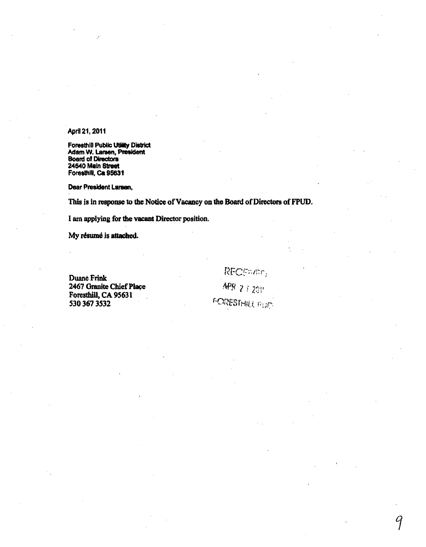# April 21, 2011

Foresthill Public Utility District Adam W. Larsen, President Board of Directors 24540 Main Street Foresthill, Ca 95631

Dear Ptealdent Larsen,

This is in response to the Notice of Vacancy on the Board of Directors of FPUD.

I am applying for the vacant Director position.

My résumé is attached.

Duane Frink 2467 Granite Chief Place Foresthill, CA 95631 5303673532

RECENSE,  $APR$  2  $i$  2011

9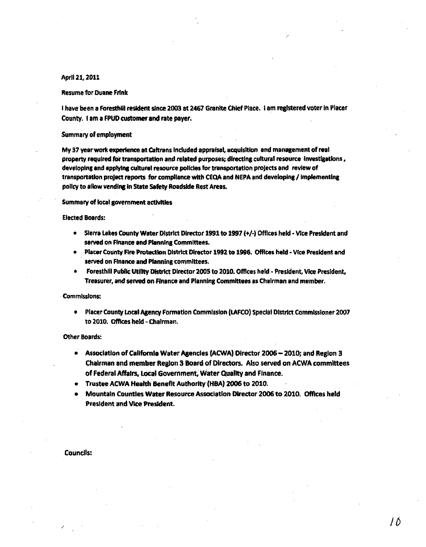## April 21, 2011

#### **Resume for Duane Frink**

I have been a Foresthill resident since 2003 at 2467 Granite Chief Place. I am registered voter in Placer County. I am a FPUD customer and rate payer.

#### Summary of employment

My 37 year work experience at Caltrans included appraisal, acquisition and management of real property required for transportation and related purposes; directing cultural resource investigations, developing and applying cultural resource policies for transportation projects and review of transportation project reports for compliance with CEQA and NEPA and developing / implementing policy to allow vending in State Safety Roadside Rest Areas.

### Summary of local government activities

## **Elected Boards:**

- Sierra Lakes County Water District Director 1991 to 1997 (+/-) Offices held Vice President and served on Finance and Planning Committees.
- Placer County Fire Protection District Director 1992 to 1996. Offices held Vice President and served on Finance and Planning committees.
- Foresthill Public Utility District Director 2005 to 2010. Offices held President, Vice President,  $\bullet$ Treasurer, and served on Finance and Planning Committees as Chairman and member.

#### **Commissions:**

Placer County Local Agency Formation Commission (LAFCO) Special District Commissioner 2007  $\bullet$ to 2010. Offices held - Chairman.

#### **Other Boards:**

- Association of California Water Agencies (ACWA) Director 2006 2010: and Region 3 Chairman and member Region 3 Board of Directors. Also served on ACWA committees of Federal Affairs, Local Government, Water Quality and Finance.
- Trustee ACWA Health Benefit Authority (HBA) 2006 to 2010.
- Mountain Counties Water Resource Association Director 2006 to 2010. Offices held **President and Vice President.**

**Councils:**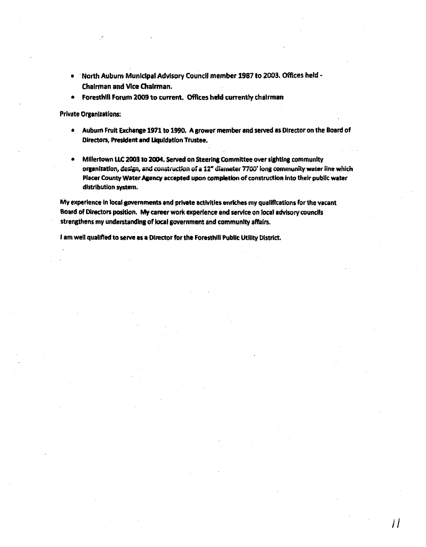- . North Auburn Municipal Advisory Council member 1987 to 2003. Offices held -Chairman and Vice Chairman.
- Foresthill Forum 2009 to current. Offices held currently chairman  $\bullet$

**Private Organizations:** 

- $\bullet$ Auburn Fruit Exchange 1971 to 1990. A grower member and served as Director on the Board of Directors, President and Liquidation Trustee.
- Millertown LLC 2003 to 2004. Served on Steering Committee over sighting community organization, design, and construction of a 12" diameter 7700' long community water line which Placer County Water Agency accepted upon completion of construction into their public water distribution system.

11

My experience in local governments and private activities enriches my qualifications for the vacant Board of Directors position. My career work experience and service on local advisory councils strengthens my understanding of local government and community affairs.

I am well qualified to serve as a Director for the Foresthill Public Utility District.